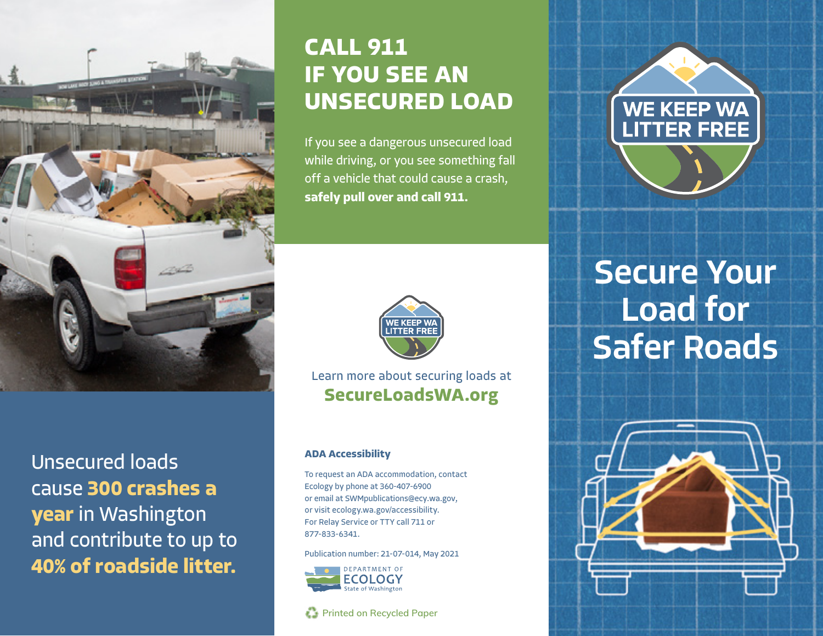

# **CALL 911 IF YOU SEE AN UNSECURED LOAD**

If you see a dangerous unsecured load while driving, or you see something fall off a vehicle that could cause a crash, **safely pull over and call 911.** 



Learn more about securing loads at **[SecureLoadsWA.org](http://SecureLoadsWA.org)**

#### **ADA Accessibility**

To request an ADA accommodation, contact Ecology by phone at 360-407-6900 or email at [SWMpublication](mailto:SWMpublications@ecy.wa.gov)s@ecy.wa.gov, or visit [ecology.wa.gov/accessibility.](http://ecology.wa.gov/accessibility) For Relay Service or TTY call 711 or 877-833-6341.

Publication number: 21-07-014, May 2021



**Printed on Recycled Paper** 



WE KEEP WA



Unsecured loads cause **300 crashes a year** in Washington and contribute to up to **40% of roadside litter.**